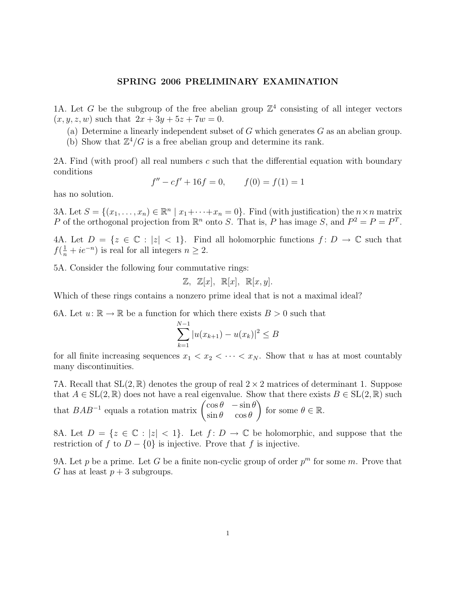## SPRING 2006 PRELIMINARY EXAMINATION

1A. Let G be the subgroup of the free abelian group  $\mathbb{Z}^4$  consisting of all integer vectors  $(x, y, z, w)$  such that  $2x + 3y + 5z + 7w = 0$ .

- (a) Determine a linearly independent subset of  $G$  which generates  $G$  as an abelian group.
- (b) Show that  $\mathbb{Z}^4/G$  is a free abelian group and determine its rank.

2A. Find (with proof) all real numbers c such that the differential equation with boundary conditions

$$
f'' - cf' + 16f = 0, \qquad f(0) = f(1) = 1
$$

has no solution.

3A. Let  $S = \{(x_1, \ldots, x_n) \in \mathbb{R}^n \mid x_1 + \cdots + x_n = 0\}$ . Find (with justification) the  $n \times n$  matrix P of the orthogonal projection from  $\mathbb{R}^n$  onto S. That is, P has image S, and  $P^2 = P = P^T$ .

4A. Let  $D = \{z \in \mathbb{C} : |z| < 1\}$ . Find all holomorphic functions  $f: D \to \mathbb{C}$  such that  $f(\frac{1}{n} + ie^{-n})$  is real for all integers  $n \geq 2$ .

5A. Consider the following four commutative rings:

$$
\mathbb{Z}, \ \mathbb{Z}[x], \ \mathbb{R}[x], \ \mathbb{R}[x, y].
$$

Which of these rings contains a nonzero prime ideal that is not a maximal ideal?

6A. Let  $u: \mathbb{R} \to \mathbb{R}$  be a function for which there exists  $B > 0$  such that

$$
\sum_{k=1}^{N-1} |u(x_{k+1}) - u(x_k)|^2 \le B
$$

for all finite increasing sequences  $x_1 < x_2 < \cdots < x_N$ . Show that u has at most countably many discontinuities.

7A. Recall that  $SL(2,\mathbb{R})$  denotes the group of real  $2 \times 2$  matrices of determinant 1. Suppose that  $A \in SL(2,\mathbb{R})$  does not have a real eigenvalue. Show that there exists  $B \in SL(2,\mathbb{R})$  such that  $BAB^{-1}$  equals a rotation matrix  $\begin{pmatrix} \cos \theta & -\sin \theta \\ \sin \theta & \cos \theta \end{pmatrix}$  $\sin \theta \quad \cos \theta$ for some  $\theta \in \mathbb{R}$ .

8A. Let  $D = \{z \in \mathbb{C} : |z| < 1\}$ . Let  $f: D \to \mathbb{C}$  be holomorphic, and suppose that the restriction of f to  $D - \{0\}$  is injective. Prove that f is injective.

9A. Let p be a prime. Let G be a finite non-cyclic group of order  $p^m$  for some m. Prove that G has at least  $p + 3$  subgroups.